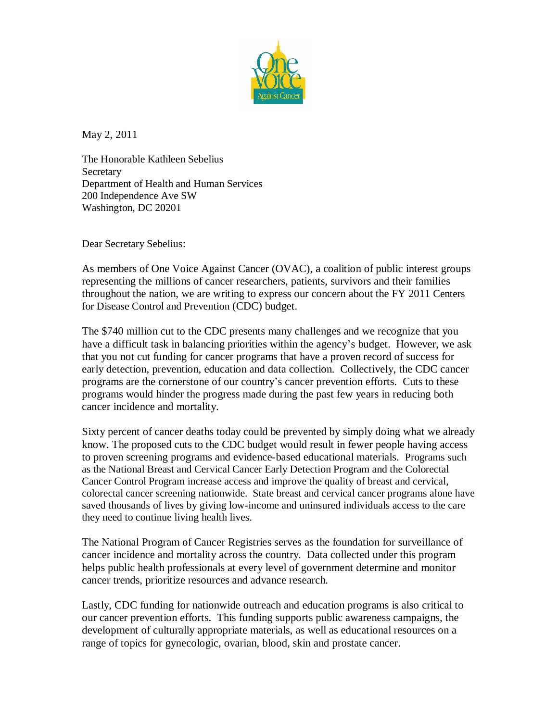

May 2, 2011

The Honorable Kathleen Sebelius **Secretary** Department of Health and Human Services 200 Independence Ave SW Washington, DC 20201

Dear Secretary Sebelius:

As members of One Voice Against Cancer (OVAC), a coalition of public interest groups representing the millions of cancer researchers, patients, survivors and their families throughout the nation, we are writing to express our concern about the FY 2011 Centers for Disease Control and Prevention (CDC) budget.

The \$740 million cut to the CDC presents many challenges and we recognize that you have a difficult task in balancing priorities within the agency's budget. However, we ask that you not cut funding for cancer programs that have a proven record of success for early detection, prevention, education and data collection. Collectively, the CDC cancer programs are the cornerstone of our country's cancer prevention efforts. Cuts to these programs would hinder the progress made during the past few years in reducing both cancer incidence and mortality.

Sixty percent of cancer deaths today could be prevented by simply doing what we already know. The proposed cuts to the CDC budget would result in fewer people having access to proven screening programs and evidence-based educational materials. Programs such as the National Breast and Cervical Cancer Early Detection Program and the Colorectal Cancer Control Program increase access and improve the quality of breast and cervical, colorectal cancer screening nationwide. State breast and cervical cancer programs alone have saved thousands of lives by giving low-income and uninsured individuals access to the care they need to continue living health lives.

The National Program of Cancer Registries serves as the foundation for surveillance of cancer incidence and mortality across the country. Data collected under this program helps public health professionals at every level of government determine and monitor cancer trends, prioritize resources and advance research.

Lastly, CDC funding for nationwide outreach and education programs is also critical to our cancer prevention efforts. This funding supports public awareness campaigns, the development of culturally appropriate materials, as well as educational resources on a range of topics for gynecologic, ovarian, blood, skin and prostate cancer.